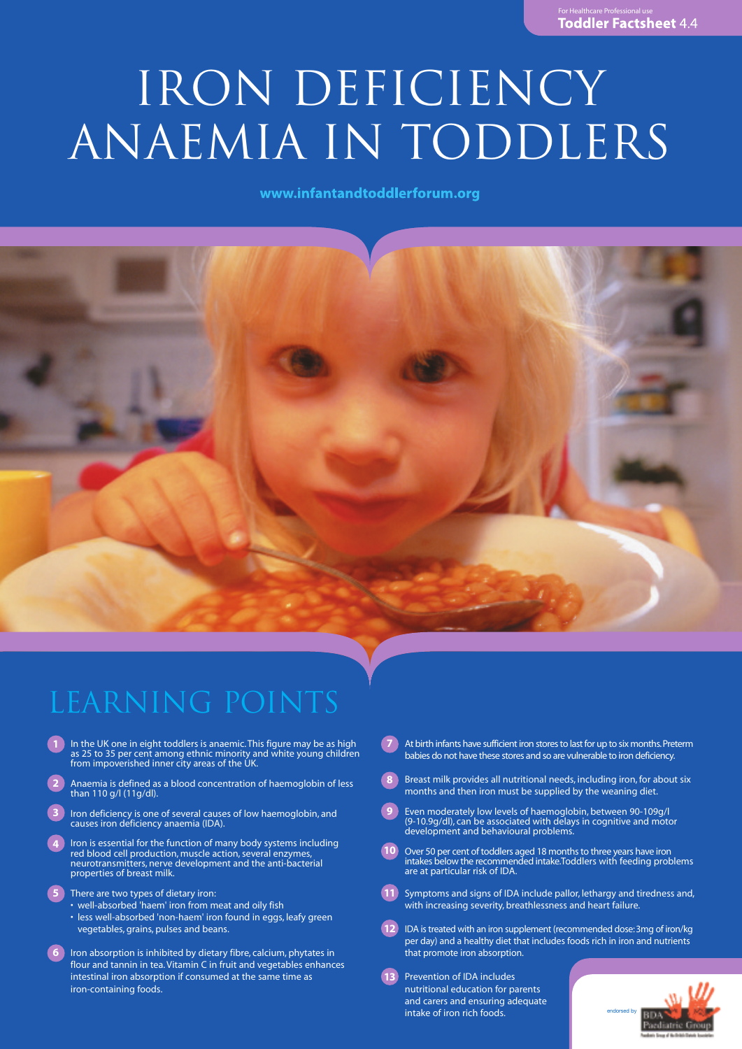# IRON DEFICIENCY ANAEMIA IN TODDLERS

www.infantandtoddlerforum.org



# Learning points

- **1** In the UK one in eight toddlers is anaemic. This figure may be as high as 25 to 35 per cent among ethnic minority and white young children from impoverished inner city areas of the UK.
- Anaemia is defined as a blood concentration of haemoglobin of less than 110 g/l (11g/dl). **2**
- Iron deficiency is one of several causes of low haemoglobin, and causes iron deficiency anaemia (IDA). **3**
- Iron is essential for the function of many body systems including red blood cell production, muscle action, several enzymes, neurotransmitters, nerve development and the anti-bacterial properties of breast milk. **4**
- There are two types of dietary iron: **5**
	- well-absorbed 'haem' iron from meat and oily fish • less well-absorbed 'non-haem' iron found in eggs, leafy green vegetables, grains, pulses and beans.
- Iron absorption is inhibited by dietary fibre, calcium, phytates in flour and tannin in tea.Vitamin C in fruit and vegetables enhances intestinal iron absorption if consumed at the same time as iron-containing foods. **6**
- At birth infants have sufficient iron stores to last for up to six months. Preterm babies do not have these stores and so are vulnerable to iron deficiency. **7**
- Breast milk provides all nutritional needs, including iron, for about six months and then iron must be supplied by the weaning diet. **8**
- Even moderately low levels of haemoglobin, between 90-109g/l (9-10.9g/dl), can be associated with delays in cognitive and motor development and behavioural problems. **9**
- Over 50 per cent of toddlers aged 18 months to three years have iron intakes below the recommended intake.Toddlers with feeding problems are at particular risk of IDA. **10**
- Symptoms and signs of IDA include pallor, lethargy and tiredness and, with increasing severity, breathlessness and heart failure. **11**
- IDA is treated with an iron supplement (recommended dose: 3mg of iron/kg per day) and a healthy diet that includes foods rich in iron and nutrients that promote iron absorption. **12**
- Prevention of IDA includes nutritional education for parents and carers and ensuring adequate intake of iron rich foods. **13**

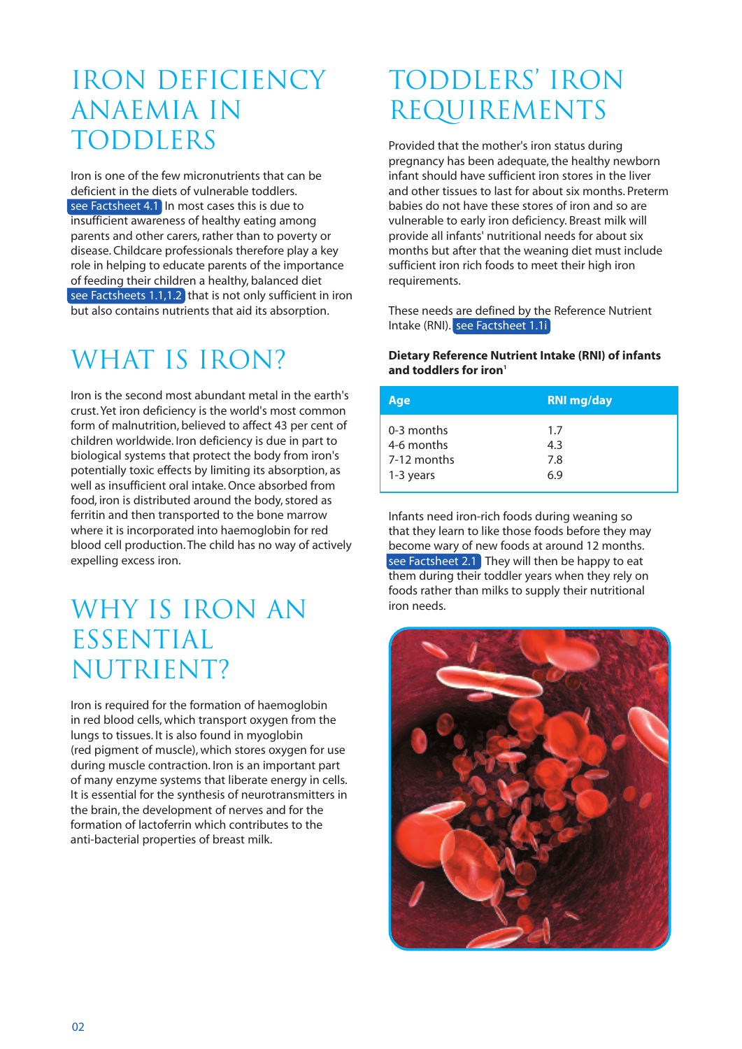## IRON DEFICIENCY ANAEMIA IN TODDLERS

Iron is one of the few micronutrients that can be deficient in the diets of vulnerable toddlers. see Factsheet 4.1 In most cases this is due to insufficient awareness of healthy eating among parents and other carers, rather than to poverty or disease. Childcare professionals therefore play a key role in helping to educate parents of the importance of feeding their children a healthy, balanced diet see Factsheets 1.1,1.2 that is not only sufficient in iron but also contains nutrients that aid its absorption.

# WHAT IS IRON?

Iron is the second most abundant metal in the earth's crust.Yet iron deficiency is the world's most common form of malnutrition, believed to affect 43 per cent of children worldwide. Iron deficiency is due in part to biological systems that protect the body from iron's potentially toxic effects by limiting its absorption, as well as insufficient oral intake.Once absorbed from food, iron is distributed around the body, stored as ferritin and then transported to the bone marrow where it is incorporated into haemoglobin for red blood cell production.The child has no way of actively expelling excess iron.

### WHY IS IRON AN ESSENTIAL NUTRIENT?

Iron is required for the formation of haemoglobin in red blood cells, which transport oxygen from the lungs to tissues. It is also found in myoglobin (red pigment of muscle), which stores oxygen for use during muscle contraction. Iron is an important part of many enzyme systems that liberate energy in cells. It is essential for the synthesis of neurotransmitters in the brain, the development of nerves and for the formation of lactoferrin which contributes to the anti-bacterial properties of breast milk.

# TODDLERS' IRON REQUIREMENTS

Provided that the mother's iron status during pregnancy has been adequate, the healthy newborn infant should have sufficient iron stores in the liver and other tissues to last for about six months. Preterm babies do not have these stores of iron and so are vulnerable to early iron deficiency. Breast milk will provide all infants' nutritional needs for about six months but after that the weaning diet must include sufficient iron rich foods to meet their high iron requirements.

These needs are defined by the Reference Nutrient Intake (RNI). see Factsheet 1.1i

### **Dietary Reference Nutrient Intake (RNI) of infants and toddlers for iron1**

| Age         | <b>RNI mg/day</b> |
|-------------|-------------------|
| 0-3 months  | 1.7               |
| 4-6 months  | 4.3               |
| 7-12 months | 7.8               |
| 1-3 years   | 6.9               |

Infants need iron-rich foods during weaning so that they learn to like those foods before they may become wary of new foods at around 12 months. see Factsheet 2.1 They will then be happy to eat them during their toddler years when they rely on foods rather than milks to supply their nutritional iron needs.

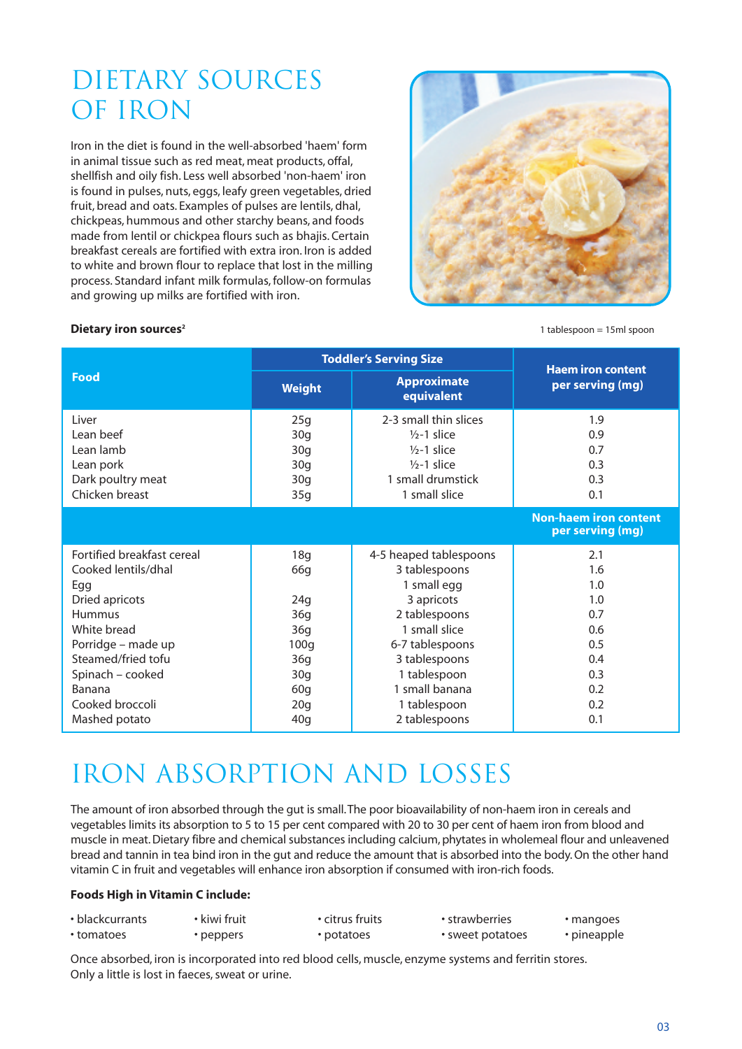# DIETARY SOURCES OF IRON

Iron in the diet is found in the well-absorbed 'haem' form in animal tissue such as red meat, meat products, offal, shellfish and oily fish. Less well absorbed 'non-haem' iron is found in pulses, nuts, eggs, leafy green vegetables, dried fruit, bread and oats. Examples of pulses are lentils, dhal, chickpeas, hummous and other starchy beans, and foods made from lentil or chickpea flours such as bhajis. Certain breakfast cereals are fortified with extra iron. Iron is added to white and brown flour to replace that lost in the milling process. Standard infant milk formulas, follow-on formulas and growing up milks are fortified with iron.



### **Dietary iron sources<sup>2</sup>** 1 tablespoon = 15ml spoon

|                            |                 | <b>Toddler's Serving Size</b>    | <b>Haem iron content</b><br>per serving (mg) |  |
|----------------------------|-----------------|----------------------------------|----------------------------------------------|--|
| Food                       | <b>Weight</b>   | <b>Approximate</b><br>equivalent |                                              |  |
| I iver                     | 25g             | 2-3 small thin slices            | 1.9                                          |  |
| Lean beef                  | 30q             | $1/2 - 1$ slice                  | 0.9                                          |  |
| Lean lamb                  | 30 <sub>g</sub> | $1/2 - 1$ slice                  | 0.7                                          |  |
| Lean pork                  | 30q             | $1/2 - 1$ slice                  | 0.3                                          |  |
| Dark poultry meat          | 30q             | 1 small drumstick                | 0.3                                          |  |
| Chicken breast             | 35g             | 1 small slice                    | 0.1                                          |  |
|                            |                 |                                  | Non-haem iron content<br>per serving (mg)    |  |
| Fortified breakfast cereal | 18g             | 4-5 heaped tablespoons           | 2.1                                          |  |
| Cooked lentils/dhal        | 66g             | 3 tablespoons                    | 1.6                                          |  |
| Egg                        |                 | 1 small egg                      | 1.0                                          |  |
| Dried apricots             | 24q             | 3 apricots                       | 1.0                                          |  |
| Hummus                     | 36q             | 2 tablespoons                    | 0.7                                          |  |
| White bread                | 36g             | 1 small slice                    | 0.6                                          |  |
| Porridge - made up         | 100q            | 6-7 tablespoons                  | 0.5                                          |  |
| Steamed/fried tofu         | 36g             | 3 tablespoons                    | 0.4                                          |  |
| Spinach - cooked           | 30 <sub>g</sub> | 1 tablespoon                     | 0.3                                          |  |
| Banana                     | 60q             | 1 small banana                   | 0.2                                          |  |
| Cooked broccoli            | 20 <sub>g</sub> | 1 tablespoon                     | 0.2                                          |  |
| Mashed potato              | 40 <sub>g</sub> | 2 tablespoons                    | 0.1                                          |  |

# IRON ABSORPTION AND LOSSES

The amount of iron absorbed through the gut is small.The poor bioavailability of non-haem iron in cereals and vegetables limits its absorption to 5 to 15 per cent compared with 20 to 30 per cent of haem iron from blood and muscle in meat.Dietary fibre and chemical substances including calcium, phytates in wholemeal flour and unleavened bread and tannin in tea bind iron in the gut and reduce the amount that is absorbed into the body.On the other hand vitamin C in fruit and vegetables will enhance iron absorption if consumed with iron-rich foods.

### **Foods High in Vitamin C include:**

| • blackcurrants | kiwi fruit | • citrus fruits | • strawberries   | • mangoes   |
|-----------------|------------|-----------------|------------------|-------------|
| • tomatoes      | peppers    | • potatoes      | • sweet potatoes | • pineapple |

Once absorbed, iron is incorporated into red blood cells, muscle, enzyme systems and ferritin stores. Only a little is lost in faeces, sweat or urine.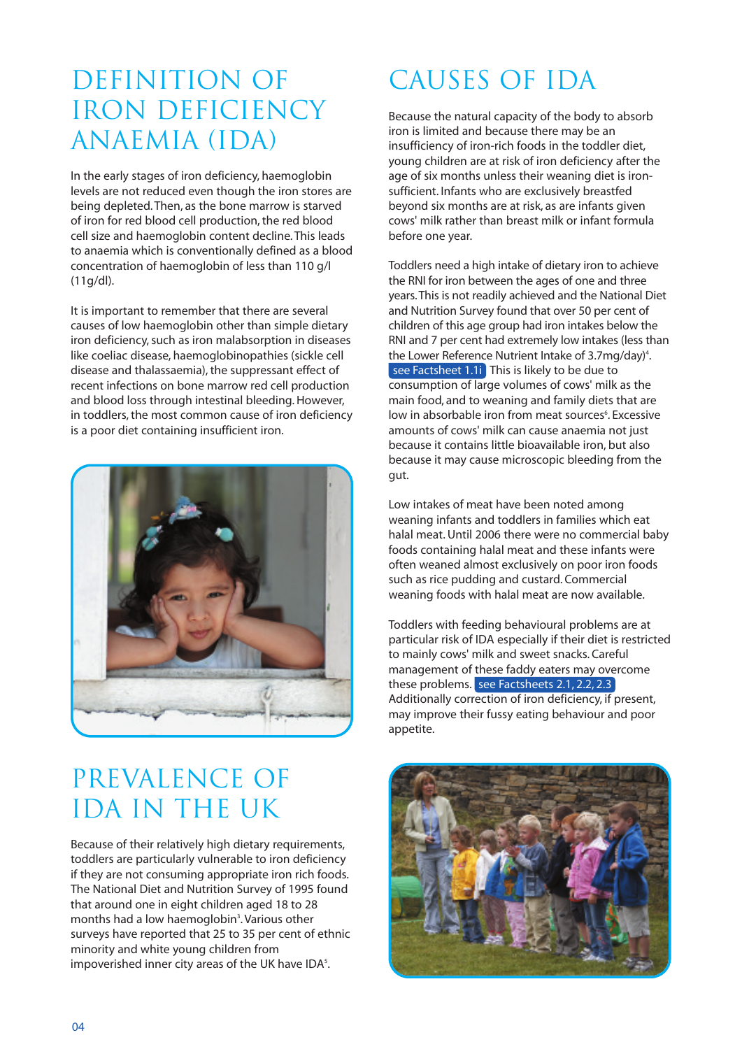## DEFINITION OF IRON DEFICIENCY ANAEMIA (IDA)

In the early stages of iron deficiency, haemoglobin levels are not reduced even though the iron stores are being depleted.Then, as the bone marrow is starved of iron for red blood cell production,the red blood cell size and haemoglobin content decline.This leads to anaemia which is conventionally defined as a blood concentration of haemoglobin of less than 110 g/l (11g/dl).

It is important to remember that there are several causes of low haemoglobin other than simple dietary iron deficiency, such as iron malabsorption in diseases like coeliac disease, haemoglobinopathies (sickle cell disease and thalassaemia), the suppressant effect of recent infections on bone marrow red cell production and blood loss through intestinal bleeding.However, in toddlers, the most common cause of iron deficiency is a poor diet containing insufficient iron.



# PREVALENCE OF IDA IN THE UK

Because of their relatively high dietary requirements, toddlers are particularly vulnerable to iron deficiency if they are not consuming appropriate iron rich foods. The National Diet and Nutrition Survey of 1995 found that around one in eight children aged 18 to 28 months had a low haemoglobin<sup>3</sup>. Various other surveys have reported that 25 to 35 per cent of ethnic minority and white young children from impoverished inner city areas of the UK have IDA<sup>5</sup>.

# CAUSES OF IDA

Because the natural capacity of the body to absorb iron is limited and because there may be an insufficiency of iron-rich foods in the toddler diet, young children are at risk of iron deficiency after the age of six months unless their weaning diet is ironsufficient. Infants who are exclusively breastfed beyond six months are at risk, as are infants given cows' milk rather than breast milk or infant formula before one year.

Toddlers need a high intake of dietary iron to achieve the RNI for iron between the ages of one and three years.This is not readily achieved and the National Diet and Nutrition Survey found that over 50 per cent of children of this age group had iron intakes below the RNI and 7 per cent had extremely low intakes (less than the Lower Reference Nutrient Intake of 3.7mg/day) 4 . see Factsheet 1.1i This is likely to be due to consumption of large volumes of cows' milk as the main food, and to weaning and family diets that are low in absorbable iron from meat sources<sup>6</sup>. Excessive amounts of cows' milk can cause anaemia not just because it contains little bioavailable iron, but also because it may cause microscopic bleeding from the gut.

Low intakes of meat have been noted among weaning infants and toddlers in families which eat halal meat.Until 2006 there were no commercial baby foods containing halal meat and these infants were often weaned almost exclusively on poor iron foods such as rice pudding and custard. Commercial weaning foods with halal meat are now available.

Toddlers with feeding behavioural problems are at particular risk of IDA especially if their diet is restricted to mainly cows' milk and sweet snacks. Careful management of these faddy eaters may overcome these problems. see Factsheets 2.1, 2.2, 2.3 Additionally correction of iron deficiency, if present, may improve their fussy eating behaviour and poor appetite.

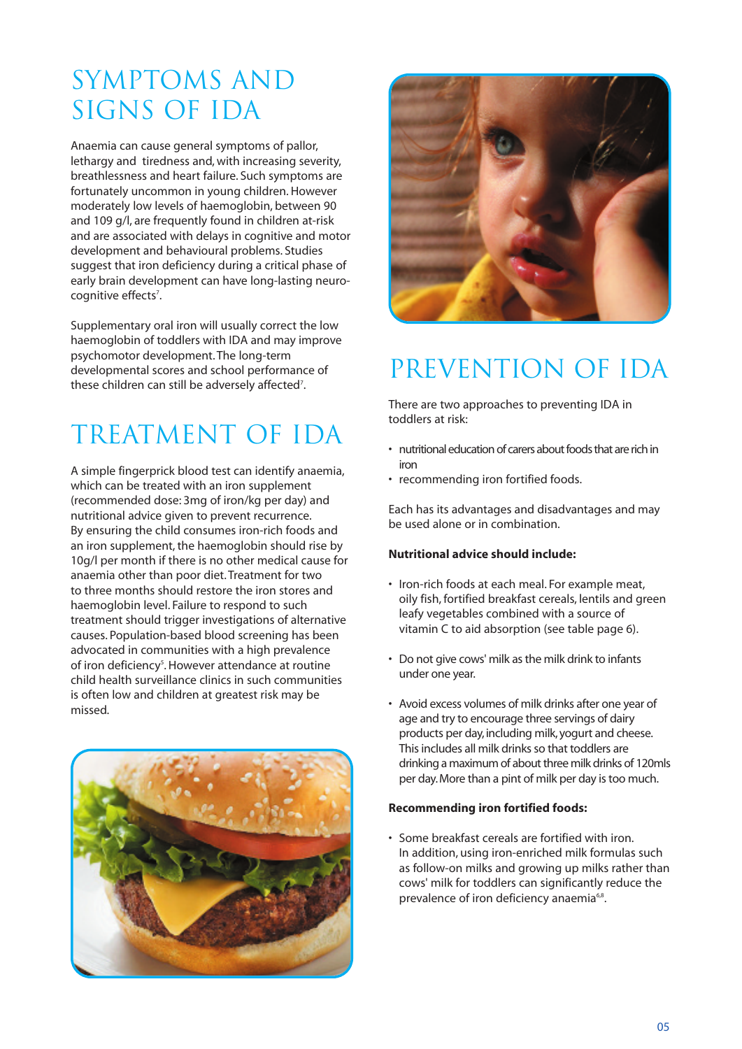# SYMPTOMS AND SIGNS OF IDA

Anaemia can cause general symptoms of pallor, lethargy and tiredness and, with increasing severity, breathlessness and heart failure. Such symptoms are fortunately uncommon in young children.However moderately low levels of haemoglobin, between 90 and 109 g/l, are frequently found in children at-risk and are associated with delays in cognitive and motor development and behavioural problems. Studies suggest that iron deficiency during a critical phase of early brain development can have long-lasting neurocognitive effects<sup>7</sup>.

Supplementary oral iron will usually correct the low haemoglobin of toddlers with IDA and may improve psychomotor development.The long-term developmental scores and school performance of these children can still be adversely affected<sup>7</sup>.

# TREATMENT OF IDA

A simple fingerprick blood test can identify anaemia, which can be treated with an iron supplement (recommended dose: 3mg of iron/kg per day) and nutritional advice given to prevent recurrence. By ensuring the child consumes iron-rich foods and an iron supplement, the haemoglobin should rise by 10g/l per month if there is no other medical cause for anaemia other than poor diet.Treatment for two to three months should restore the iron stores and haemoglobin level. Failure to respond to such treatment should trigger investigations of alternative causes. Population-based blood screening has been advocated in communities with a high prevalence of iron deficiency<sup>s</sup>. However attendance at routine child health surveillance clinics in such communities is often low and children at greatest risk may be missed.





# PREVENTION OF IDA

There are two approaches to preventing IDA in toddlers at risk:

- nutritional education of carers about foods that are rich in iron
- recommending iron fortified foods.

Each has its advantages and disadvantages and may be used alone or in combination.

### **Nutritional advice should include:**

- Iron-rich foods at each meal. For example meat, oily fish, fortified breakfast cereals, lentils and green leafy vegetables combined with a source of vitamin C to aid absorption (see table page 6).
- Do not give cows' milk as the milk drink to infants under one year.
- Avoid excess volumes of milk drinks after one year of age and try to encourage three servings of dairy products per day,including milk,yogurt and cheese. This includes all milk drinks so that toddlers are drinking a maximum of about three milk drinks of 120mls per day. More than a pint of milk per day is too much.

### **Recommending iron fortified foods:**

• Some breakfast cereals are fortified with iron. In addition, using iron-enriched milk formulas such as follow-on milks and growing up milks rather than cows' milk for toddlers can significantly reduce the prevalence of iron deficiency anaemia<sup>6,8</sup>.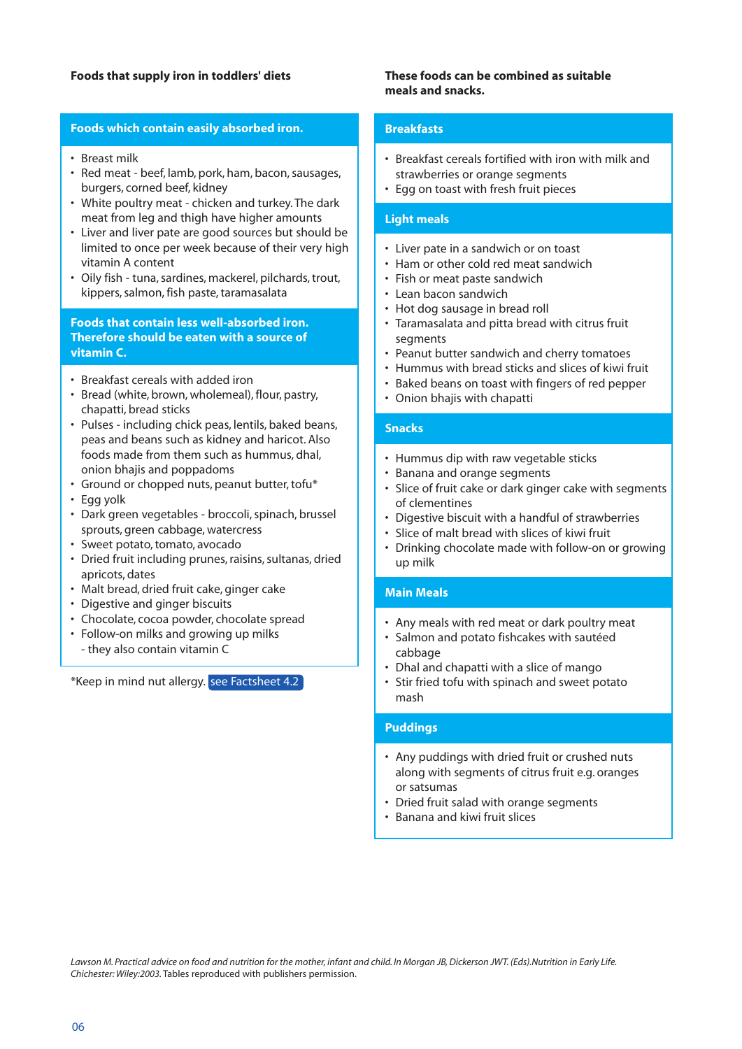### **Foods that supply iron in toddlers' diets**

### **Foods which contain easily absorbed iron.**

- Breast milk
- Red meat beef, lamb, pork, ham, bacon, sausages, burgers, corned beef, kidney
- White poultry meat chicken and turkey.The dark meat from leg and thigh have higher amounts
- Liver and liver pate are good sources but should be limited to once per week because of their very high vitamin A content
- Oily fish tuna, sardines, mackerel, pilchards, trout, kippers, salmon, fish paste, taramasalata

### **Foods that contain less well-absorbed iron. Therefore should be eaten with a source of vitamin C.**

- Breakfast cereals with added iron
- Bread (white, brown, wholemeal), flour, pastry, chapatti, bread sticks
- Pulses including chick peas, lentils, baked beans, peas and beans such as kidney and haricot. Also foods made from them such as hummus, dhal, onion bhajis and poppadoms
- Ground or chopped nuts, peanut butter, tofu\*
- Egg yolk
- Dark green vegetables broccoli, spinach, brussel sprouts, green cabbage, watercress
- Sweet potato, tomato, avocado
- Dried fruit including prunes, raisins, sultanas, dried apricots, dates
- Malt bread, dried fruit cake, ginger cake
- Digestive and ginger biscuits
- Chocolate, cocoa powder, chocolate spread
- Follow-on milks and growing up milks - they also contain vitamin C

\*Keep in mind nut allergy. see Factsheet 4.2

### **These foods can be combined as suitable meals and snacks.**

### **Breakfasts**

- Breakfast cereals fortified with iron with milk and strawberries or orange segments
- Egg on toast with fresh fruit pieces

#### **Light meals**

- Liver pate in a sandwich or on toast
- Ham or other cold red meat sandwich
- Fish or meat paste sandwich
- Lean bacon sandwich
- Hot dog sausage in bread roll
- Taramasalata and pitta bread with citrus fruit segments
- Peanut butter sandwich and cherry tomatoes
- Hummus with bread sticks and slices of kiwi fruit
- Baked beans on toast with fingers of red pepper
- Onion bhajis with chapatti

#### **Snacks**

- Hummus dip with raw vegetable sticks
- Banana and orange segments
- Slice of fruit cake or dark ginger cake with segments of clementines
- Digestive biscuit with a handful of strawberries
- Slice of malt bread with slices of kiwi fruit
- Drinking chocolate made with follow-on or growing up milk

### **Main Meals**

- Any meals with red meat or dark poultry meat
- Salmon and potato fishcakes with sautéed cabbage
- Dhal and chapatti with a slice of mango
- Stir fried tofu with spinach and sweet potato mash

#### **Puddings**

- Any puddings with dried fruit or crushed nuts along with segments of citrus fruit e.g. oranges or satsumas
- Dried fruit salad with orange segments
- Banana and kiwi fruit slices

Lawson M. Practical advice on food and nutrition for the mother, infant and child. In Morgan JB, Dickerson JWT. (Eds). Nutrition in Early Life. *Chichester: Wiley:2003.* Tables reproduced with publishers permission.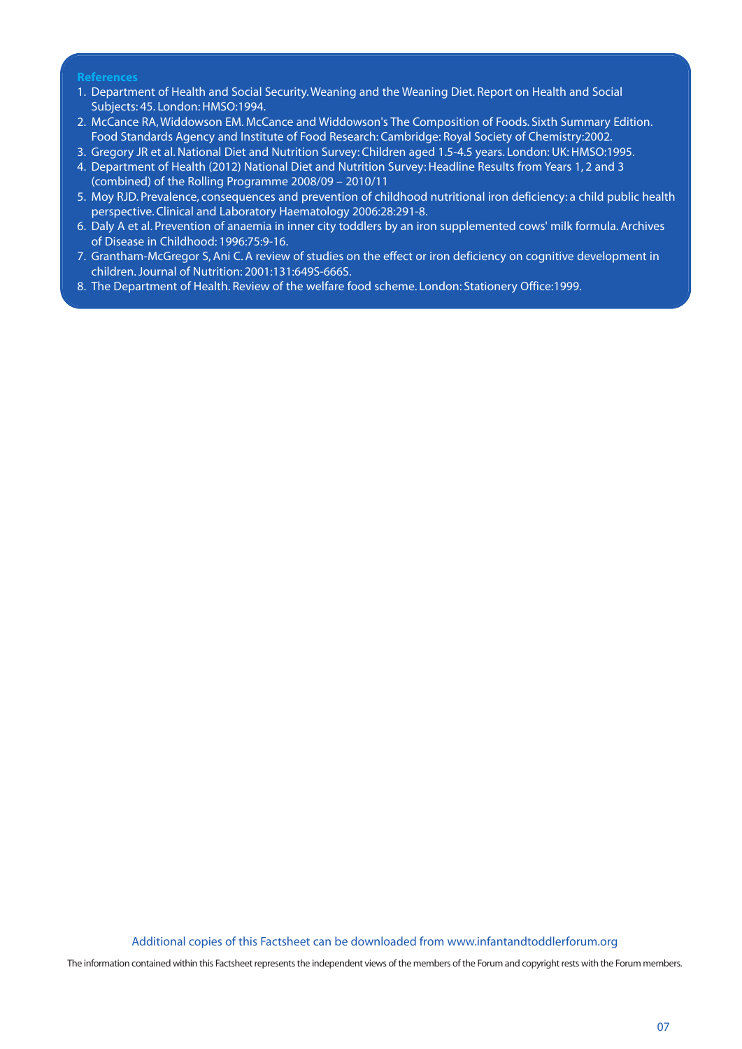### **References**

- 1. Department of Health and Social Security.Weaning and the Weaning Diet. Report on Health and Social Subjects: 45. London: HMSO:1994.
- 2. McCance RA,Widdowson EM. McCance and Widdowson's The Composition of Foods. Sixth Summary Edition. Food Standards Agency and Institute of Food Research: Cambridge: Royal Society of Chemistry:2002.
- 3. Gregory JR et al.National Diet and Nutrition Survey: Children aged 1.5-4.5 years. London: UK: HMSO:1995.
- 4. Department of Health (2012) National Diet and Nutrition Survey: Headline Results from Years 1, 2 and 3 (combined) of the Rolling Programme 2008/09 – 2010/11
- 5. Moy RJD. Prevalence, consequences and prevention of childhood nutritional iron deficiency: a child public health perspective. Clinical and Laboratory Haematology 2006:28:291-8.
- 6. Daly A et al. Prevention of anaemia in inner city toddlers by an iron supplemented cows' milk formula. Archives of Disease in Childhood: 1996:75:9-16.
- 7. Grantham-McGregor S, Ani C. A review of studies on the effect or iron deficiency on cognitive development in children.Journal of Nutrition: 2001:131:649S-666S.
- 8. The Department of Health. Review of the welfare food scheme. London: Stationery Office:1999.

Additional copies of this Factsheet can be downloaded from www.infantandtoddlerforum.org

The information contained within this Factsheet represents the independent views of the members of the Forum and copyright rests with the Forum members.